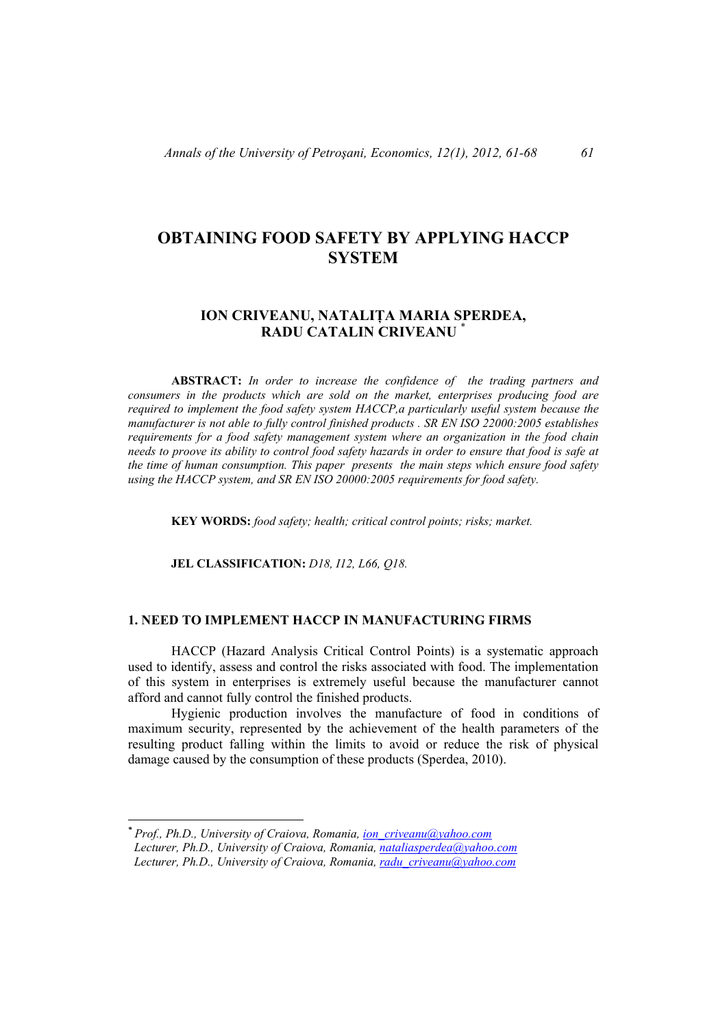# **OBTAINING FOOD SAFETY BY APPLYING HACCP SYSTEM**

# **ION CRIVEANU, NATALIŢA MARIA SPERDEA, RADU CATALIN CRIVEANU** \*

**ABSTRACT:** *In order to increase the confidence of the trading partners and consumers in the products which are sold on the market, enterprises producing food are required to implement the food safety system HACCP,a particularly useful system because the manufacturer is not able to fully control finished products . SR EN ISO 22000:2005 establishes requirements for a food safety management system where an organization in the food chain needs to proove its ability to control food safety hazards in order to ensure that food is safe at the time of human consumption. This paper presents the main steps which ensure food safety using the HACCP system, and SR EN ISO 20000:2005 requirements for food safety.* 

**KEY WORDS:** *food safety; health; critical control points; risks; market.*

**JEL CLASSIFICATION:** *D18, I12, L66, Q18.* 

# **1. NEED TO IMPLEMENT HACCP IN MANUFACTURING FIRMS**

HACCP (Hazard Analysis Critical Control Points) is a systematic approach used to identify, assess and control the risks associated with food. The implementation of this system in enterprises is extremely useful because the manufacturer cannot afford and cannot fully control the finished products.

Hygienic production involves the manufacture of food in conditions of maximum security, represented by the achievement of the health parameters of the resulting product falling within the limits to avoid or reduce the risk of physical damage caused by the consumption of these products (Sperdea, 2010).

*<sup>\*</sup> Prof., Ph.D., University of Craiova, Romania, ion\_criveanu@yahoo.com* 

*Lecturer, Ph.D., University of Craiova, Romania, nataliasperdea@yahoo.com Lecturer, Ph.D., University of Craiova, Romania, radu\_criveanu@yahoo.com*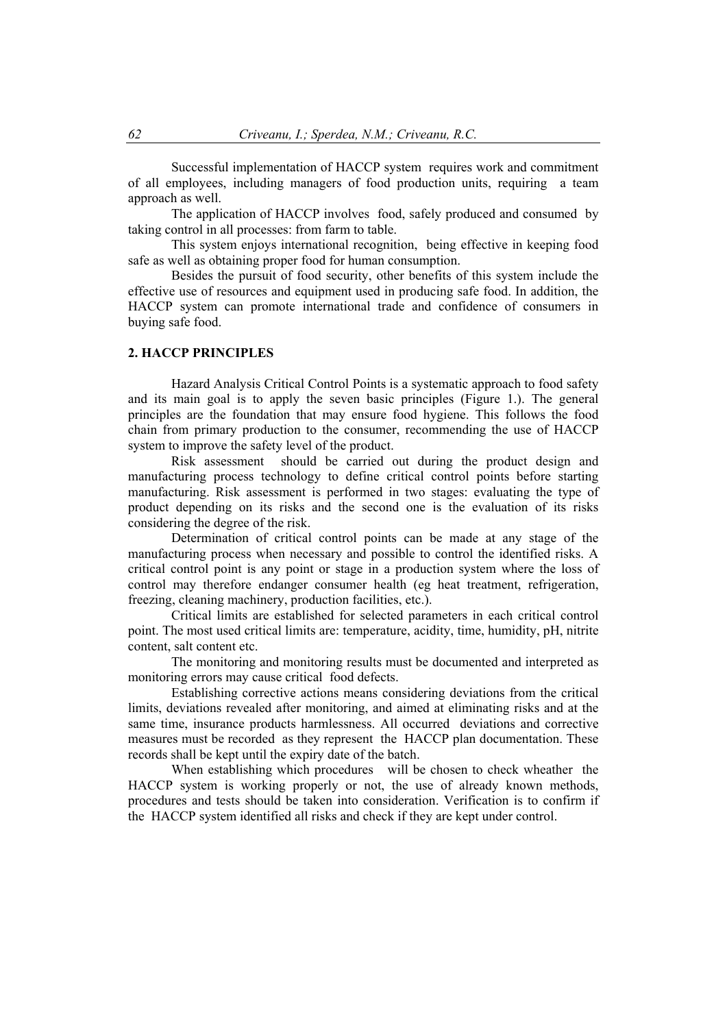Successful implementation of HACCP system requires work and commitment of all employees, including managers of food production units, requiring a team approach as well.

The application of HACCP involves food, safely produced and consumed by taking control in all processes: from farm to table.

This system enjoys international recognition, being effective in keeping food safe as well as obtaining proper food for human consumption.

Besides the pursuit of food security, other benefits of this system include the effective use of resources and equipment used in producing safe food. In addition, the HACCP system can promote international trade and confidence of consumers in buying safe food.

# **2. HACCP PRINCIPLES**

Hazard Analysis Critical Control Points is a systematic approach to food safety and its main goal is to apply the seven basic principles (Figure 1.). The general principles are the foundation that may ensure food hygiene. This follows the food chain from primary production to the consumer, recommending the use of HACCP system to improve the safety level of the product.

Risk assessment should be carried out during the product design and manufacturing process technology to define critical control points before starting manufacturing. Risk assessment is performed in two stages: evaluating the type of product depending on its risks and the second one is the evaluation of its risks considering the degree of the risk.

Determination of critical control points can be made at any stage of the manufacturing process when necessary and possible to control the identified risks. A critical control point is any point or stage in a production system where the loss of control may therefore endanger consumer health (eg heat treatment, refrigeration, freezing, cleaning machinery, production facilities, etc.).

Critical limits are established for selected parameters in each critical control point. The most used critical limits are: temperature, acidity, time, humidity, pH, nitrite content, salt content etc.

The monitoring and monitoring results must be documented and interpreted as monitoring errors may cause critical food defects.

Establishing corrective actions means considering deviations from the critical limits, deviations revealed after monitoring, and aimed at eliminating risks and at the same time, insurance products harmlessness. All occurred deviations and corrective measures must be recorded as they represent the HACCP plan documentation. These records shall be kept until the expiry date of the batch.

When establishing which procedures will be chosen to check wheather the HACCP system is working properly or not, the use of already known methods, procedures and tests should be taken into consideration. Verification is to confirm if the HACCP system identified all risks and check if they are kept under control.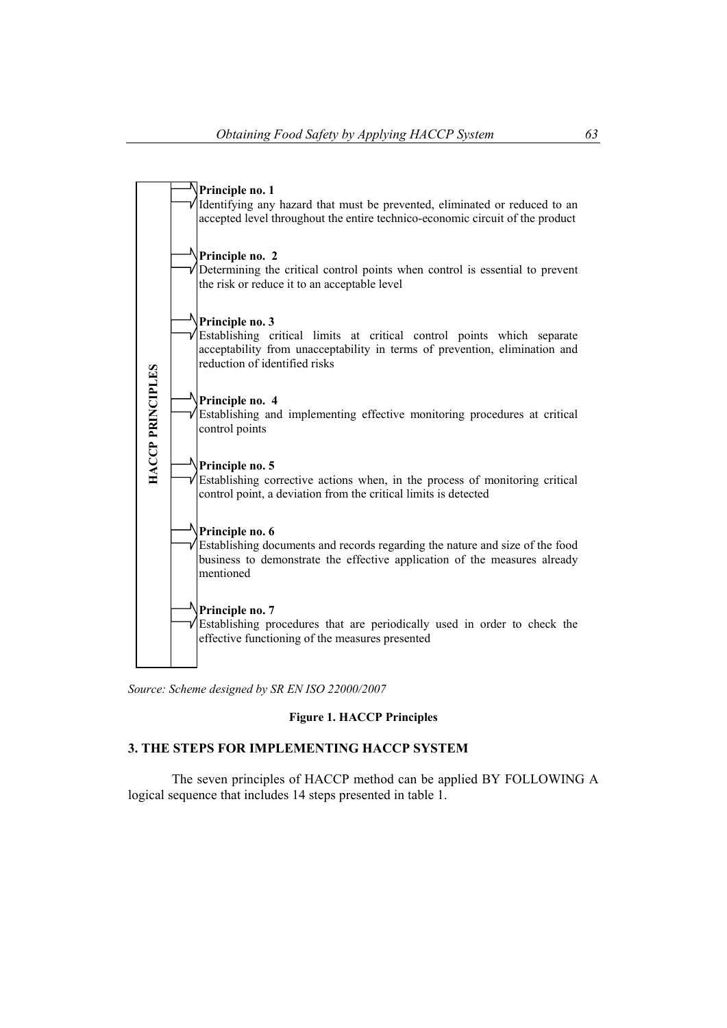

*Source: Scheme designed by SR EN ISO 22000/2007* 

## **Figure 1. HACCP Principles**

# **3. THE STEPS FOR IMPLEMENTING HACCP SYSTEM**

The seven principles of HACCP method can be applied BY FOLLOWING A logical sequence that includes 14 steps presented in table 1.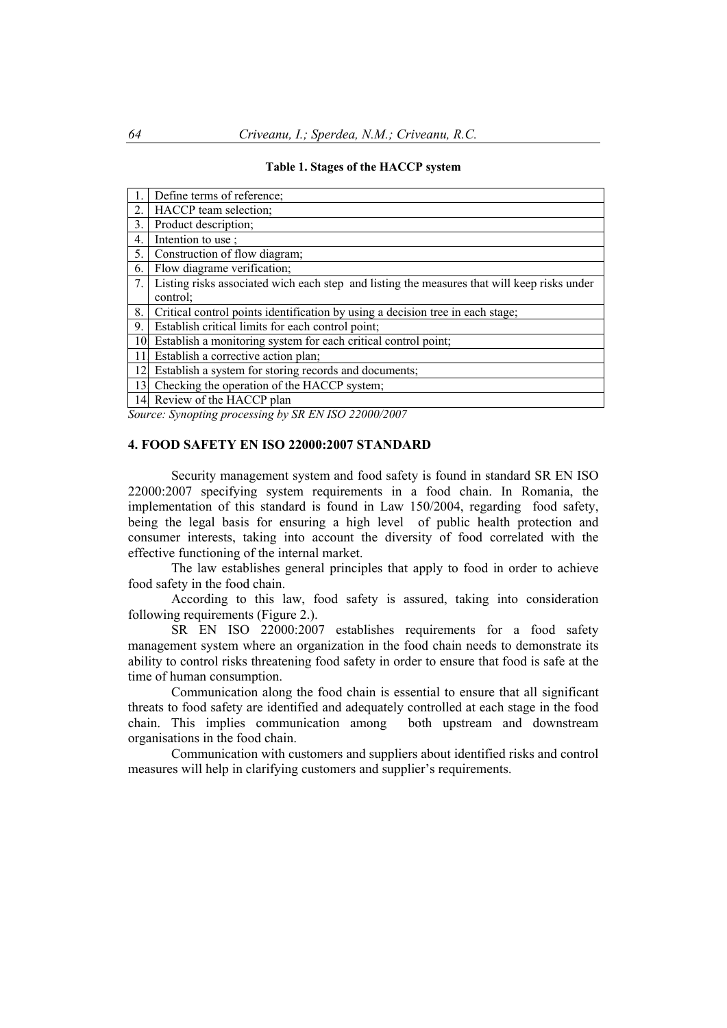|    | Define terms of reference:                                                                              |
|----|---------------------------------------------------------------------------------------------------------|
| 2. | HACCP team selection;                                                                                   |
| 3. | Product description;                                                                                    |
| 4. | Intention to use;                                                                                       |
| 5. | Construction of flow diagram;                                                                           |
| 6. | Flow diagrame verification;                                                                             |
| 7. | Listing risks associated wich each step and listing the measures that will keep risks under<br>control: |
| 8. | Critical control points identification by using a decision tree in each stage;                          |
| 9. | Establish critical limits for each control point;                                                       |
| 10 | Establish a monitoring system for each critical control point;                                          |
| 11 | Establish a corrective action plan;                                                                     |
| 12 | Establish a system for storing records and documents;                                                   |
| 13 | Checking the operation of the HACCP system;                                                             |
|    | 14 Review of the HACCP plan                                                                             |

**Table 1. Stages of the HACCP system** 

*Source: Synopting processing by SR EN ISO 22000/2007* 

#### **4. FOOD SAFETY EN ISO 22000:2007 STANDARD**

Security management system and food safety is found in standard SR EN ISO 22000:2007 specifying system requirements in a food chain. In Romania, the implementation of this standard is found in Law 150/2004, regarding food safety, being the legal basis for ensuring a high level of public health protection and consumer interests, taking into account the diversity of food correlated with the effective functioning of the internal market.

The law establishes general principles that apply to food in order to achieve food safety in the food chain.

According to this law, food safety is assured, taking into consideration following requirements (Figure 2.).

SR EN ISO 22000:2007 establishes requirements for a food safety management system where an organization in the food chain needs to demonstrate its ability to control risks threatening food safety in order to ensure that food is safe at the time of human consumption.

Communication along the food chain is essential to ensure that all significant threats to food safety are identified and adequately controlled at each stage in the food chain. This implies communication among both upstream and downstream organisations in the food chain.

Communication with customers and suppliers about identified risks and control measures will help in clarifying customers and supplier's requirements.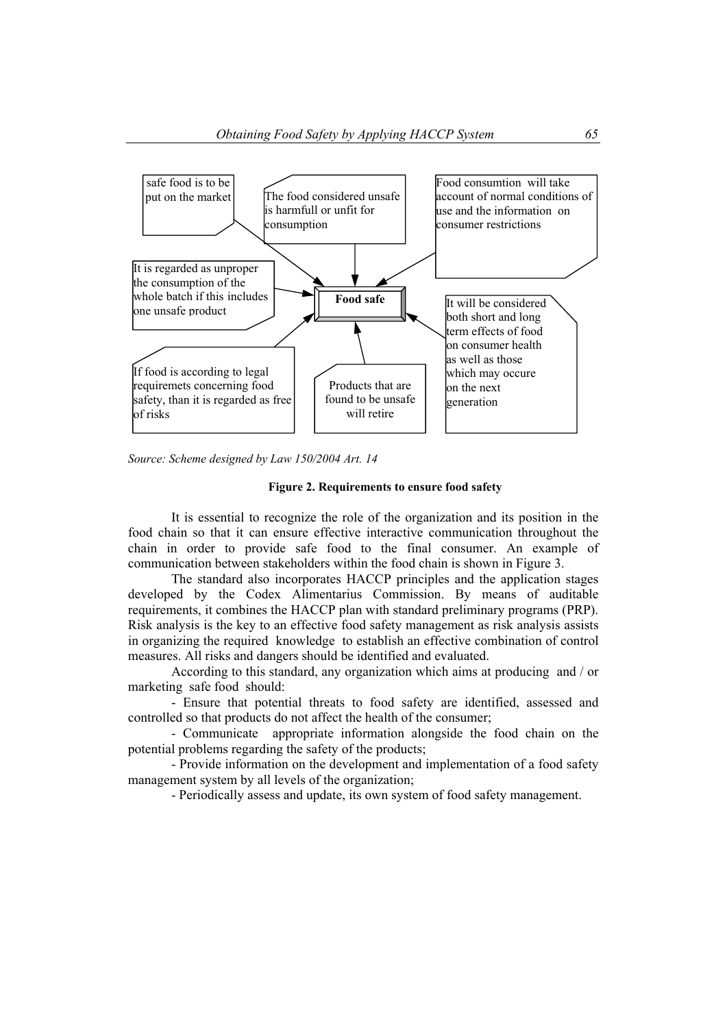

*Source: Scheme designed by Law 150/2004 Art. 14* 

### **Figure 2. Requirements to ensure food safety**

It is essential to recognize the role of the organization and its position in the food chain so that it can ensure effective interactive communication throughout the chain in order to provide safe food to the final consumer. An example of communication between stakeholders within the food chain is shown in Figure 3.

The standard also incorporates HACCP principles and the application stages developed by the Codex Alimentarius Commission. By means of auditable requirements, it combines the HACCP plan with standard preliminary programs (PRP). Risk analysis is the key to an effective food safety management as risk analysis assists in organizing the required knowledge to establish an effective combination of control measures. All risks and dangers should be identified and evaluated.

According to this standard, any organization which aims at producing and / or marketing safe food should:

- Ensure that potential threats to food safety are identified, assessed and controlled so that products do not affect the health of the consumer;

- Communicate appropriate information alongside the food chain on the potential problems regarding the safety of the products;

- Provide information on the development and implementation of a food safety management system by all levels of the organization;

- Periodically assess and update, its own system of food safety management.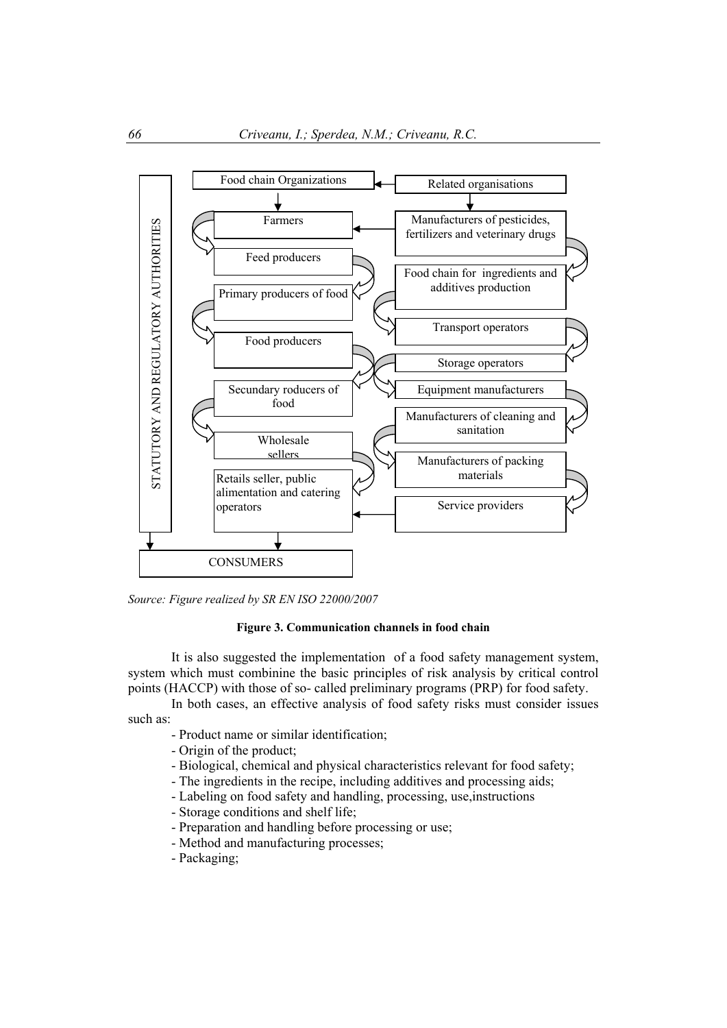

*Source: Figure realized by SR EN ISO 22000/2007*

### **Figure 3. Communication channels in food chain**

It is also suggested the implementation of a food safety management system, system which must combinine the basic principles of risk analysis by critical control points (HACCP) with those of so- called preliminary programs (PRP) for food safety.

In both cases, an effective analysis of food safety risks must consider issues such as:

- Product name or similar identification;
- Origin of the product;
- Biological, chemical and physical characteristics relevant for food safety;
- The ingredients in the recipe, including additives and processing aids;
- Labeling on food safety and handling, processing, use,instructions
- Storage conditions and shelf life;
- Preparation and handling before processing or use;
- Method and manufacturing processes;
- Packaging;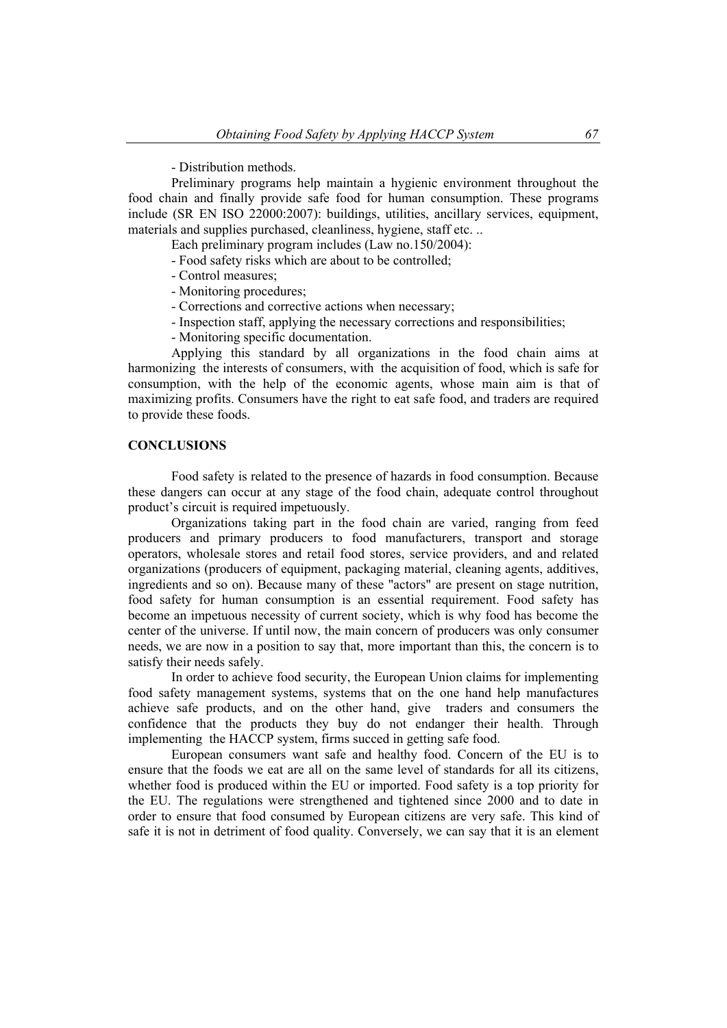- Distribution methods.

Preliminary programs help maintain a hygienic environment throughout the food chain and finally provide safe food for human consumption. These programs include (SR EN ISO 22000:2007): buildings, utilities, ancillary services, equipment, materials and supplies purchased, cleanliness, hygiene, staff etc...

Each preliminary program includes (Law no.150/2004):

- Food safety risks which are about to be controlled;
- Control measures;
- Monitoring procedures;
- Corrections and corrective actions when necessary;
- Inspection staff, applying the necessary corrections and responsibilities;
- Monitoring specific documentation.

Applying this standard by all organizations in the food chain aims at harmonizing the interests of consumers, with the acquisition of food, which is safe for consumption, with the help of the economic agents, whose main aim is that of maximizing profits. Consumers have the right to eat safe food, and traders are required to provide these foods.

## **CONCLUSIONS**

Food safety is related to the presence of hazards in food consumption. Because these dangers can occur at any stage of the food chain, adequate control throughout product's circuit is required impetuously.

Organizations taking part in the food chain are varied, ranging from feed producers and primary producers to food manufacturers, transport and storage operators, wholesale stores and retail food stores, service providers, and and related organizations (producers of equipment, packaging material, cleaning agents, additives, ingredients and so on). Because many of these "actors" are present on stage nutrition, food safety for human consumption is an essential requirement. Food safety has become an impetuous necessity of current society, which is why food has become the center of the universe. If until now, the main concern of producers was only consumer needs, we are now in a position to say that, more important than this, the concern is to satisfy their needs safely.

In order to achieve food security, the European Union claims for implementing food safety management systems, systems that on the one hand help manufactures achieve safe products, and on the other hand, give traders and consumers the confidence that the products they buy do not endanger their health. Through implementing the HACCP system, firms succed in getting safe food.

European consumers want safe and healthy food. Concern of the EU is to ensure that the foods we eat are all on the same level of standards for all its citizens, whether food is produced within the EU or imported. Food safety is a top priority for the EU. The regulations were strengthened and tightened since 2000 and to date in order to ensure that food consumed by European citizens are very safe. This kind of safe it is not in detriment of food quality. Conversely, we can say that it is an element